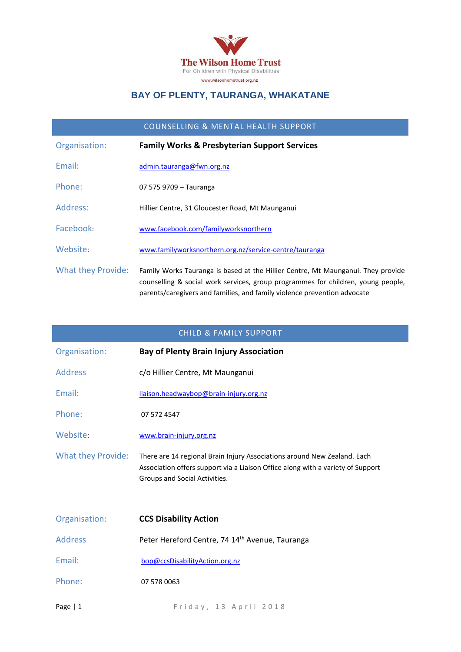

### **BAY OF PLENTY, TAURANGA, WHAKATANE**

#### COUNSELLING & MENTAL HEALTH SUPPORT

| Organisation:             | <b>Family Works &amp; Presbyterian Support Services</b>                                                                                                                                                                                          |
|---------------------------|--------------------------------------------------------------------------------------------------------------------------------------------------------------------------------------------------------------------------------------------------|
| Fmail:                    | admin.tauranga@fwn.org.nz                                                                                                                                                                                                                        |
| Phone:                    | 07 575 9709 – Tauranga                                                                                                                                                                                                                           |
| Address:                  | Hillier Centre, 31 Gloucester Road, Mt Maunganui                                                                                                                                                                                                 |
| Facebook:                 | www.facebook.com/familyworksnorthern                                                                                                                                                                                                             |
| Website:                  | www.familyworksnorthern.org.nz/service-centre/tauranga                                                                                                                                                                                           |
| <b>What they Provide:</b> | Family Works Tauranga is based at the Hillier Centre, Mt Maunganui. They provide<br>counselling & social work services, group programmes for children, young people,<br>parents/caregivers and families, and family violence prevention advocate |

#### CHILD & FAMILY SUPPORT

| Organisation:             | <b>Bay of Plenty Brain Injury Association</b>                                                                                                                                                |
|---------------------------|----------------------------------------------------------------------------------------------------------------------------------------------------------------------------------------------|
| <b>Address</b>            | c/o Hillier Centre, Mt Maunganui                                                                                                                                                             |
| Email:                    | liaison.headwaybop@brain-injury.org.nz                                                                                                                                                       |
| Phone:                    | 07 572 4547                                                                                                                                                                                  |
| Website:                  | www.brain-injury.org.nz                                                                                                                                                                      |
| <b>What they Provide:</b> | There are 14 regional Brain Injury Associations around New Zealand. Each<br>Association offers support via a Liaison Office along with a variety of Support<br>Groups and Social Activities. |
| Organisation:             | <b>CCS Disability Action</b>                                                                                                                                                                 |
| <b>Address</b>            | Peter Hereford Centre, 74 14th Avenue, Tauranga                                                                                                                                              |
| Email:                    | bop@ccsDisabilityAction.org.nz                                                                                                                                                               |

Phone: 07 578 0063

Page | 1 Friday, 13 April 2018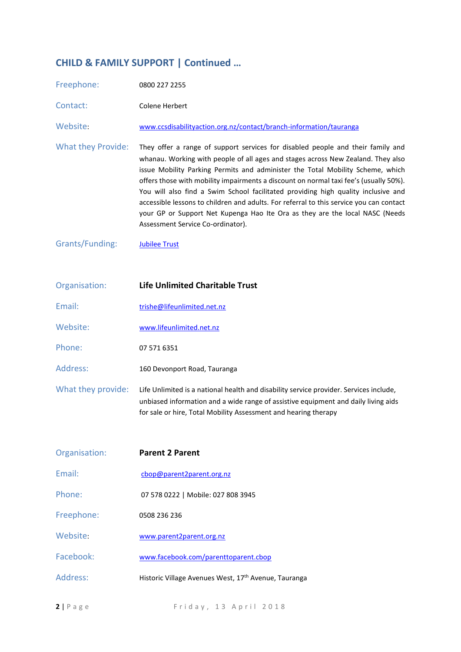## **CHILD & FAMILY SUPPORT | Continued …**

| Freephone:                | 0800 227 2255                                                                                                                                                                                                                                                                                                                                                                                                                                                                                                                                                                                                                                       |
|---------------------------|-----------------------------------------------------------------------------------------------------------------------------------------------------------------------------------------------------------------------------------------------------------------------------------------------------------------------------------------------------------------------------------------------------------------------------------------------------------------------------------------------------------------------------------------------------------------------------------------------------------------------------------------------------|
| Contact:                  | Colene Herbert                                                                                                                                                                                                                                                                                                                                                                                                                                                                                                                                                                                                                                      |
| Website:                  | www.ccsdisabilityaction.org.nz/contact/branch-information/tauranga                                                                                                                                                                                                                                                                                                                                                                                                                                                                                                                                                                                  |
| <b>What they Provide:</b> | They offer a range of support services for disabled people and their family and<br>whanau. Working with people of all ages and stages across New Zealand. They also<br>issue Mobility Parking Permits and administer the Total Mobility Scheme, which<br>offers those with mobility impairments a discount on normal taxi fee's (usually 50%).<br>You will also find a Swim School facilitated providing high quality inclusive and<br>accessible lessons to children and adults. For referral to this service you can contact<br>your GP or Support Net Kupenga Hao Ite Ora as they are the local NASC (Needs<br>Assessment Service Co-ordinator). |
| Grants/Funding:           | <b>Jubilee Trust</b>                                                                                                                                                                                                                                                                                                                                                                                                                                                                                                                                                                                                                                |

| Organisation:      | <b>Life Unlimited Charitable Trust</b>                                                                                                                                                                                                          |
|--------------------|-------------------------------------------------------------------------------------------------------------------------------------------------------------------------------------------------------------------------------------------------|
| Email:             | trishe@lifeunlimited.net.nz                                                                                                                                                                                                                     |
| Website:           | www.lifeunlimited.net.nz                                                                                                                                                                                                                        |
| Phone:             | 07 571 6351                                                                                                                                                                                                                                     |
| Address:           | 160 Devonport Road, Tauranga                                                                                                                                                                                                                    |
| What they provide: | Life Unlimited is a national health and disability service provider. Services include,<br>unbiased information and a wide range of assistive equipment and daily living aids<br>for sale or hire, Total Mobility Assessment and hearing therapy |

| Organisation: | <b>Parent 2 Parent</b>                                           |
|---------------|------------------------------------------------------------------|
| Email:        | cbop@parent2parent.org.nz                                        |
| Phone:        | 07 578 0222   Mobile: 027 808 3945                               |
| Freephone:    | 0508 236 236                                                     |
| Website:      | www.parent2parent.org.nz                                         |
| Facebook:     | www.facebook.com/parenttoparent.cbop                             |
| Address:      | Historic Village Avenues West, 17 <sup>th</sup> Avenue, Tauranga |
|               |                                                                  |

**2** | P a g e F rid a y , 13 A p r i l 2018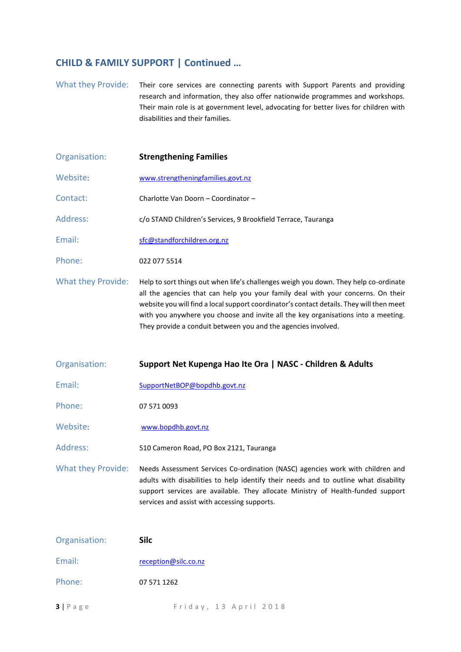#### **CHILD & FAMILY SUPPORT | Continued …**

What they Provide: Their core services are connecting parents with Support Parents and providing research and information, they also offer nationwide programmes and workshops. Their main role is at government level, advocating for better lives for children with disabilities and their families.

- Organisation: **Strengthening Families** Website: [www.strengtheningfamilies.govt.nz](http://www.strengtheningfamilies.govt.nz/) Contact: Charlotte Van Doorn – Coordinator – Address: c/o STAND Children's Services, 9 Brookfield Terrace, Tauranga Email: [sfc@standforchildren.org.nz](mailto:sfc@standforchildren.org.nz) Phone: 022 077 5514 What they Provide: Help to sort things out when life's challenges weigh you down. They help co-ordinate all the agencies that can help you your family deal with your concerns. On their website you will find a local support coordinator's contact details. They will then meet with you anywhere you choose and invite all the key organisations into a meeting.
- Organisation: **Support Net Kupenga Hao Ite Ora | NASC - Children & Adults** Email: [SupportNetBOP@bopdhb.govt.nz](mailto:SupportNetBOP@bopdhb.govt.nz) Phone: 07 571 0093 Website: [www.bopdhb.govt.nz](http://www.bopdhb.govt.nz/) Address: 510 Cameron Road, PO Box 2121, Tauranga What they Provide: Needs Assessment Services Co-ordination (NASC) agencies work with children and adults with disabilities to help identify their needs and to outline what disability support services are available. They allocate Ministry of Health-funded support services and assist with accessing supports.

They provide a conduit between you and the agencies involved.

| Organisation:      | <b>Silc</b>           |
|--------------------|-----------------------|
| Email:             | reception@silc.co.nz  |
| Phone:             | 07 571 1262           |
| $3   P \text{age}$ | Friday, 13 April 2018 |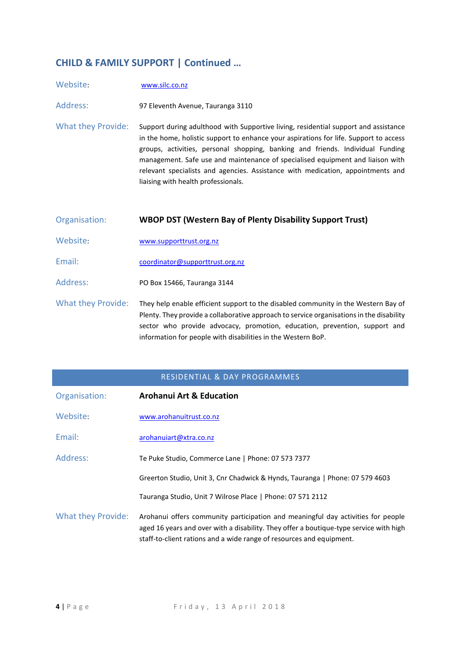## **CHILD & FAMILY SUPPORT | Continued …**

| Website:                  | www.silc.co.nz                                                                                                                                                                                                                                                                                                                                                                                                                                                             |
|---------------------------|----------------------------------------------------------------------------------------------------------------------------------------------------------------------------------------------------------------------------------------------------------------------------------------------------------------------------------------------------------------------------------------------------------------------------------------------------------------------------|
| Address:                  | 97 Eleventh Avenue, Tauranga 3110                                                                                                                                                                                                                                                                                                                                                                                                                                          |
| <b>What they Provide:</b> | Support during adulthood with Supportive living, residential support and assistance<br>in the home, holistic support to enhance your aspirations for life. Support to access<br>groups, activities, personal shopping, banking and friends. Individual Funding<br>management. Safe use and maintenance of specialised equipment and liaison with<br>relevant specialists and agencies. Assistance with medication, appointments and<br>liaising with health professionals. |
|                           |                                                                                                                                                                                                                                                                                                                                                                                                                                                                            |
| Organisation:             | <b>WBOP DST (Western Bay of Plenty Disability Support Trust)</b>                                                                                                                                                                                                                                                                                                                                                                                                           |
| Website:                  | www.supporttrust.org.nz                                                                                                                                                                                                                                                                                                                                                                                                                                                    |
| Email:                    | coordinator@supporttrust.org.nz                                                                                                                                                                                                                                                                                                                                                                                                                                            |
| Address:                  | PO Box 15466, Tauranga 3144                                                                                                                                                                                                                                                                                                                                                                                                                                                |

#### RESIDENTIAL & DAY PROGRAMMES

| Organisation:             | <b>Arohanui Art &amp; Education</b>                                                                                                                                                                                                                |
|---------------------------|----------------------------------------------------------------------------------------------------------------------------------------------------------------------------------------------------------------------------------------------------|
| Website:                  | www.arohanuitrust.co.nz                                                                                                                                                                                                                            |
| Email:                    | arohanuiart@xtra.co.nz                                                                                                                                                                                                                             |
| Address:                  | Te Puke Studio, Commerce Lane   Phone: 07 573 7377                                                                                                                                                                                                 |
|                           | Greerton Studio, Unit 3, Cnr Chadwick & Hynds, Tauranga   Phone: 07 579 4603                                                                                                                                                                       |
|                           | Tauranga Studio, Unit 7 Wilrose Place   Phone: 07 571 2112                                                                                                                                                                                         |
| <b>What they Provide:</b> | Arohanui offers community participation and meaningful day activities for people<br>aged 16 years and over with a disability. They offer a boutique-type service with high<br>staff-to-client rations and a wide range of resources and equipment. |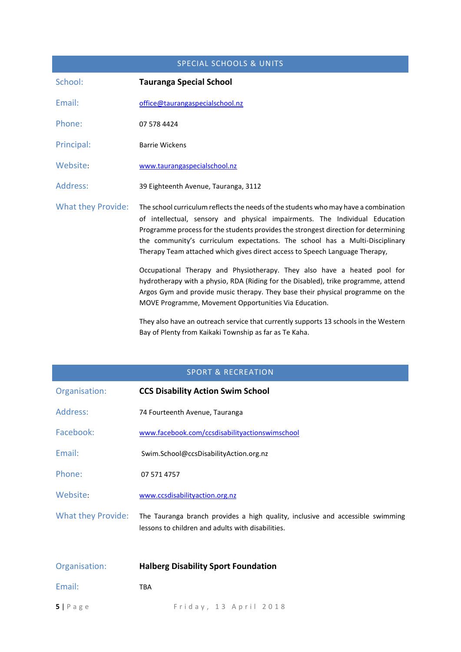# SPECIAL SCHOOLS & UNITS School: **Tauranga Special School** Email: office@taurangaspecialschool.nz Phone: 07 578 4424 Principal: Barrie Wickens Website: [www.taurangaspecialschool.nz](http://www.taurangaspecialschool.nz/) Address: 39 Eighteenth Avenue, Tauranga, 3112 What they Provide: The school curriculum reflects the needs of the students who may have a combination of intellectual, sensory and physical impairments. The Individual Education Programme process for the students provides the strongest direction for determining the community's curriculum expectations. The school has a Multi-Disciplinary Therapy Team attached which gives direct access to Speech Language Therapy, Occupational Therapy and Physiotherapy. They also have a heated pool for hydrotherapy with a physio, RDA (Riding for the Disabled), trike programme, attend Argos Gym and provide music therapy. They base their physical programme on the MOVE Programme, Movement Opportunities Via Education.

They also have an outreach service that currently supports 13 schools in the Western Bay of Plenty from Kaikaki Township as far as Te Kaha.

#### SPORT & RECREATION

| Organisation:      | <b>CCS Disability Action Swim School</b>                                                                                            |
|--------------------|-------------------------------------------------------------------------------------------------------------------------------------|
| Address:           | 74 Fourteenth Avenue, Tauranga                                                                                                      |
| Facebook:          | www.facebook.com/ccsdisabilityactionswimschool                                                                                      |
| Email:             | Swim.School@ccsDisabilityAction.org.nz                                                                                              |
| Phone:             | 07 571 4757                                                                                                                         |
| Website:           | www.ccsdisabilityaction.org.nz                                                                                                      |
| What they Provide: | The Tauranga branch provides a high quality, inclusive and accessible swimming<br>lessons to children and adults with disabilities. |
| Organisation:      | <b>Halberg Disability Sport Foundation</b>                                                                                          |
| Email:             | <b>TBA</b>                                                                                                                          |

**5** | Page Friday, 13 April 2018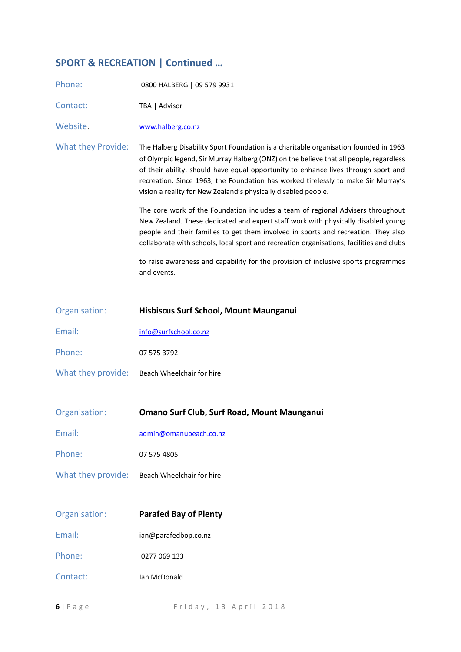## **SPORT & RECREATION | Continued …**

| Phone:                    | 0800 HALBERG   09 579 9931                                                                                                                                                                                                                                                                                                                                                                                                  |
|---------------------------|-----------------------------------------------------------------------------------------------------------------------------------------------------------------------------------------------------------------------------------------------------------------------------------------------------------------------------------------------------------------------------------------------------------------------------|
| Contact:                  | TBA   Advisor                                                                                                                                                                                                                                                                                                                                                                                                               |
| Website:                  | www.halberg.co.nz                                                                                                                                                                                                                                                                                                                                                                                                           |
| <b>What they Provide:</b> | The Halberg Disability Sport Foundation is a charitable organisation founded in 1963<br>of Olympic legend, Sir Murray Halberg (ONZ) on the believe that all people, regardless<br>of their ability, should have equal opportunity to enhance lives through sport and<br>recreation. Since 1963, the Foundation has worked tirelessly to make Sir Murray's<br>vision a reality for New Zealand's physically disabled people. |
|                           | The core work of the Foundation includes a team of regional Advisers throughout<br>New Zealand. These dedicated and expert staff work with physically disabled young<br>people and their families to get them involved in sports and recreation. They also<br>collaborate with schools, local sport and recreation organisations, facilities and clubs                                                                      |
|                           | to raise awareness and capability for the provision of inclusive sports programmes<br>and events.                                                                                                                                                                                                                                                                                                                           |
| Organisation:             | Hisbiscus Surf School, Mount Maunganui                                                                                                                                                                                                                                                                                                                                                                                      |
| Email:                    | info@surfschool.co.nz                                                                                                                                                                                                                                                                                                                                                                                                       |
| Phone:                    | 07 575 3792                                                                                                                                                                                                                                                                                                                                                                                                                 |
| What they provide:        | Beach Wheelchair for hire                                                                                                                                                                                                                                                                                                                                                                                                   |
| Organisation:             | Omano Surf Club, Surf Road, Mount Maunganui                                                                                                                                                                                                                                                                                                                                                                                 |
| Email:                    | admin@omanubeach.co.nz                                                                                                                                                                                                                                                                                                                                                                                                      |
| Phone:                    | 07 575 4805                                                                                                                                                                                                                                                                                                                                                                                                                 |
| What they provide:        | Beach Wheelchair for hire                                                                                                                                                                                                                                                                                                                                                                                                   |
| Organisation:             | <b>Parafed Bay of Plenty</b>                                                                                                                                                                                                                                                                                                                                                                                                |
| Email:                    | ian@parafedbop.co.nz                                                                                                                                                                                                                                                                                                                                                                                                        |
| Phone:                    | 0277 069 133                                                                                                                                                                                                                                                                                                                                                                                                                |
| Contact:                  | Ian McDonald                                                                                                                                                                                                                                                                                                                                                                                                                |

**6** | P a g e e e e e F r i d a y , 1 3 A p r i l 2018